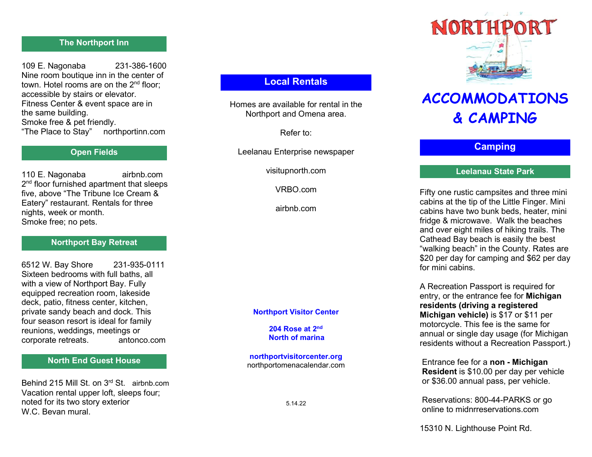# The Northport Inn

109 E. Nagonaba 231-386-1600 Nine room boutique inn in the center of town. Hotel rooms are on the 2<sup>nd</sup> floor: accessible by stairs or elevator. Fitness Center & event space are in the same building. Smoke free & pet friendly. "The Place to Stay" northportinn.com

### Open Fields

110 E. Nagonaba airbnb.com 2 nd floor furnished apartment that sleeps five, above "The Tribune Ice Cream & Eatery" restaurant. Rentals for three nights, week or month. Smoke free; no pets.

#### Northport Bay Retreat

6512 W. Bay Shore 231-935-0111 Sixteen bedrooms with full baths, all with a view of Northport Bay. Fully equipped recreation room, lakeside deck, patio, fitness center, kitchen, private sandy beach and dock. This four season resort is ideal for family reunions, weddings, meetings or corporate retreats. antonco.com

### North End Guest House

Behind 215 Mill St. on 3rd St. airbnb.com Vacation rental upper loft, sleeps four; noted for its two story exterior W.C. Bevan mural

# Local Rentals

Homes are available for rental in the Northport and Omena area.

Refer to:

Leelanau Enterprise newspaper

visitupnorth.com

VRBO.com

airbnb.com

#### Northport Visitor Center

#### 204 Rose at 2nd North of marina

northportvisitorcenter.org northportomenacalendar.com



# ACCOMMODATIONS & CAMPING

# **Camping**

### Leelanau State Park

Fifty one rustic campsites and three mini cabins at the tip of the Little Finger. Mini cabins have two bunk beds, heater, mini fridge & microwave. Walk the beaches and over eight miles of hiking trails. The Cathead Bay beach is easily the best "walking beach" in the County. Rates are \$20 per day for camping and \$62 per day for mini cabins.

A Recreation Passport is required for entry, or the entrance fee for Michigan residents (driving a registered Michigan vehicle) is \$17 or \$11 per motorcycle. This fee is the same for annual or single day usage (for Michigan residents without a Recreation Passport.)

 Entrance fee for a non - Michigan Resident is \$10.00 per day per vehicle or \$36.00 annual pass, per vehicle.

 Reservations: 800-44-PARKS or go online to midnrreservations.com

15310 N. Lighthouse Point Rd.